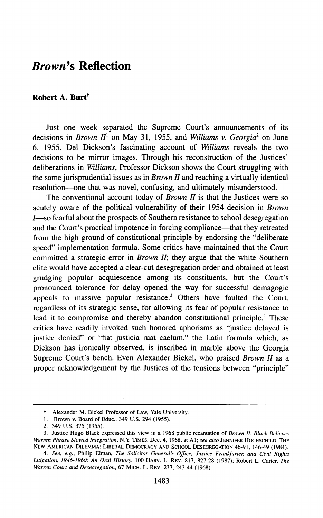## *Brown's* Reflection

## Robert A. Burt<sup> $\dagger$ </sup>

Just one week separated the Supreme Court's announcements of its decisions in *Brown II*<sup>1</sup> on May 31, 1955, and *Williams* v. *Georgia*<sup>2</sup> on June 6, 1955. Del Dickson's fascinating account of *Williams* reveals the two decisions to be mirror images. Through his reconstruction of the Justices' deliberations in *Williams,* Professor Dickson shows the Court struggling with the same jurisprudential issues as in *Brown II* and reaching a virtually identical resolution—one that was novel, confusing, and ultimately misunderstood.

The conventional account today of *Brown II* is that the Justices were so acutely aware of the political vulnerability of their 1954 decision in *Brown* I-so fearful about the prospects of Southern resistance to school desegregation and the Court's practical impotence in forcing compliance—that they retreated from the high ground of constitutional principle by endorsing the "deliberate speed" implementation formula. Some critics have maintained that the Court committed a strategic error in *Brown II;* they argue that the white Southern elite would have accepted a clear-cut desegregation order and obtained at least grudging popular acquiescence among its constituents, but the Court's pronounced tolerance for delay opened the way for successful demagogic appeals to massive popular resistance.<sup>3</sup> Others have faulted the Court, regardless of its strategic sense, for allowing its fear of popular resistance to lead it to compromise and thereby abandon constitutional principle.<sup>4</sup> These critics have readily invoked such honored aphorisms as "justice delayed is justice denied" or "fiat justicia ruat caelum," the Latin formula which, as Dickson has ironically observed, is inscribed in marble above the Georgia Supreme Court's bench. Even Alexander Bickel, who praised *Brown II* as a proper acknowledgement by the Justices of the tensions between "principle"

t Alexander M. Bickel Professor of Law, Yale University.

<sup>1.</sup> Brown v. Board of Educ., 349 U.S. 294 (1955).

<sup>2.</sup> 349 U.S. 375 (1955).

<sup>3.</sup> Justice Hugo Black expressed this view in a 1968 public recantation of *Brown II. Black Believes Warren Phrase Slowed Integration,* N.Y. TIMES, Dec. 4, 1968, at AI; *see also* JENNIFER HOCHSCHILD, THE NEW AMERICAN DILEMMA: LIBERAL DEMOCRACY AND SCHOOL DESEGREGATION 46-91, 146-49 (1984).

*<sup>4.</sup> See, e.g.,* Philip Elman, *The Solicitor General's Office, Justice Frankfurter, and Civil Rights Litigation, 1946-1960: An Oral History,* 100 HARV. L. REV. 817,827-28 (1987); Robert L. Carter, *The Warren Court and Desegregation,* 67 MICH. L. REV. 237, 243-44 (1968).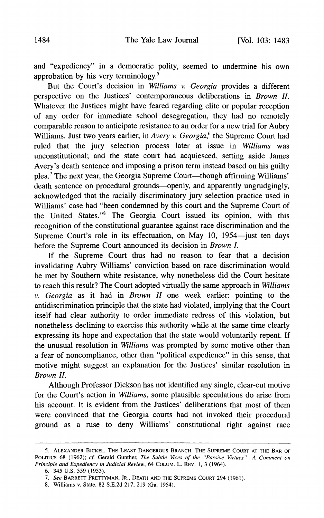and "expediency" in a democratic polity, seemed to undermine his own approbation by his very terminology.5

But the Court's decision in *Williams* v. *Georgia* provides a different perspective on the Justices' contemporaneous deliberations in *Brown II.* Whatever the Justices might have feared regarding elite or popular reception of any order for immediate school desegregation, they had no remotely comparable reason to anticipate resistance to an order for a new trial for Aubry Williams. Just two years earlier, in *Avery* v. *Georgia*,<sup>6</sup> the Supreme Court had ruled that the jury selection process later at issue in *Williams* was unconstitutional; and the state court had acquiesced, setting aside James Avery's death sentence and imposing a prison term instead based on his guilty plea.<sup>7</sup> The next year, the Georgia Supreme Court—though affirming Williams' death sentence on procedural grounds—openly, and apparently ungrudgingly, acknowledged that the racially discriminatory jury selection practice used in Williams' case had "been condemned by this court and the Supreme Court of the United States."<sup>8</sup> The Georgia Court issued its opinion, with this recognition of the constitutional guarantee against race discrimination and the Supreme Court's role in its effectuation, on May 10, 1954-just ten days before the Supreme Court announced its decision in *Brown I.*

If the Supreme Court thus had no reason to fear that a decision invalidating Aubry Williams' conviction based on race discrimination would be met by Southern white resistance, why nonetheless did the Court hesitate to reach this result? The Court adopted virtually the same approach in *Williams* v. *Georgia* as it had in *Brown II* one week earlier: pointing to the antidiscrimination principle that the state had violated, implying that the Court itself had clear authority to order immediate redress of this violation, but nonetheless declining to exercise this authority while at the same time clearly expressing its hope and expectation that the state would voluntarily repent. If the unusual resolution in *Williams* was prompted by some motive other than a fear of noncompliance, other than "political expedience" in this sense, that motive might suggest an explanation for the Justices' similar resolution in *Brown II.*

Although Professor Dickson has not identified any single, clear-cut motive for the Court's action in *Williams,* some plausible speculations do arise from his account. It is evident from the Justices' deliberations that most of them were convinced that the Georgia courts had not invoked their procedural ground as a ruse to deny Williams' constitutional right against race

<sup>5.</sup> ALEXANDER BICKEL, THE LEAST DANGEROUS BRANCH: THE SUPREME COURT AT THE BAR OF POLITICS 68 (1962); *cf.* Gerald Gunther, *The Subtle Vices of the "Passive Virtues"-A Comment on Principle and Expediency in Judicial Review,* 64 COLUM. L. REV. 1,3 (1964).

<sup>6.</sup> 345 U.S. 559 (1953).

*<sup>7.</sup> See* BARRETT PRETTYMAN, JR., DEATH AND THE SUPREME COURT 294 (1961).

<sup>8.</sup> Williams v. State, 82 S.E.2d 217,219 (Ga. 1954).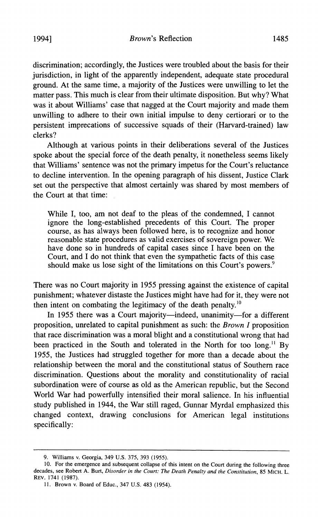discrimination; accordingly, the Justices were troubled about the basis for their jurisdiction, in light of the apparently independent, adequate state procedural ground. At the same time, a majority of the Justices were unwilling to let the matter pass. This much is clear from their ultimate disposition. But why? What was it about Williams' case that nagged at the Court majority and made them unwilling to adhere to their own initial impulse to deny certiorari or to the persistent imprecations of successive squads of their (Harvard-trained) law clerks?

Although at various points in their deliberations several of the Justices spoke about the special force of the death penalty, it nonetheless seems likely that Williams' sentence was not the primary impetus for the Court's reluctance to decline intervention. In the opening paragraph of his dissent, Justice Clark set out the perspective that almost certainly was shared by most members of the Court at that time:

While I, too, am not deaf to the pleas of the condemned, I cannot ignore the long-established precedents of this Court. The proper course, as has always been followed here, is to recognize and honor reasonable state procedures as valid exercises of sovereign power. We have done so in hundreds of capital cases since I have been on the Court, and I do not think that even the sympathetic facts of this case should make us lose sight of the limitations on this Court's powers.<sup>9</sup>

There was no Court majority in 1955 pressing against the existence of capital punishment; whatever distaste the Justices might have had for it, they were not then intent on combating the legitimacy of the death penalty. $10$ 

In 1955 there was a Court majority—indeed, unanimity—for a different proposition, unrelated to capital punishment as such: the *Brown I* proposition that race discrimination was a moral blight and a constitutional wrong that had been practiced in the South and tolerated in the North for too long.<sup>11</sup> By 1955, the Justices had struggled together for more than a decade about the relationship between the moral and the constitutional status of Southern race discrimination. Questions about the morality and constitutionality of racial subordination were of course as old as the American republic, but the Second World War had powerfully intensified their moral salience. In his influential study published in 1944, the War still raged, Gunnar Myrdal emphasized this changed context, drawing conclusions for American legal institutions specifically:

<sup>9.</sup> Williams v. Georgia, 349 U.S. 375, 393 (1955).

<sup>10.</sup> For the emergence and subsequent collapse of this intent on the Court during the following three decades, see Robert A. Burt, *Disorder in the Court: The Death Penalty and the Constitution,* 85 MICH. L. REV. 1741 (1987).

<sup>11.</sup> Brown v. Board of Educ., 347 U.S. 483 (1954).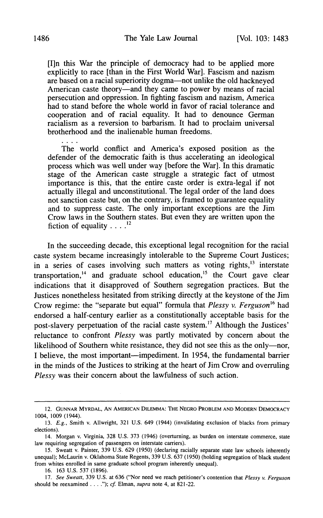[I]n this War the principle of democracy had to be applied more explicitly to race [than in the First World War]. Fascism and nazism are based on a racial superiority dogma—not unlike the old hackneyed American caste theory—and they came to power by means of racial persecution and oppression. In fighting fascism and nazism, America had to stand before the whole world in favor of racial tolerance and cooperation and of racial equality. It had to denounce German racialism as a reversion to barbarism. It had to proclaim universal brotherhood and the inalienable human freedoms.

The world conflict and America's exposed position as the defender of the democratic faith is thus accelerating an ideological process which was well under way [before the War]. In this dramatic stage of the American caste struggle a strategic fact of utmost importance is this, that the entire caste order is extra-legal if not actually illegal and unconstitutional. The legal order of the land does not sanction caste but, on the contrary, is framed to guarantee equality and to suppress caste. The only important exceptions are the Jim Crow laws in the Southern states. But even they are written upon the fiction of equality  $\ldots$   $^{12}$ 

In the succeeding decade, this exceptional legal recognition for the racial caste system became increasingly intolerable to the Supreme Court Justices; in a series of cases involving such matters as voting rights, $13$  interstate transportation, $14$  and graduate school education, $15$  the Court gave clear indications that it disapproved of Southern segregation practices. But the Justices nonetheless hesitated from striking directly at the keystone of the Jim Crow regime: the "separate but equal" formula that *Plessy* v. *Ferguson* <sup>16</sup> had endorsed a half-century earlier as a constitutionally acceptable basis for the post-slavery perpetuation of the racial caste system. I? Although the Justices' reluctance to confront *Plessy* was partly motivated by concern about the likelihood of Southern white resistance, they did not see this as the only---I believe, the most important—impediment. In 1954, the fundamental barrier in the minds of the Justices to striking at the heart of Jim Crow and overruling *Plessy* was their concern about the lawfulness of such action.

<sup>12.</sup> GUNNAR MVRDAL, AN AMERICAN DILEMMA: THE NEGRO PROBLEM AND MODERN DEMOCRACY 1004, 1009 (1944).

*<sup>13.</sup> E.g.,* Smith v. Allwright, 321 U.S. 649 (1944) (invalidating exclusion of blacks from primary elections).

<sup>14.</sup> Morgan v. Virginia, 328 U.S. 373 (1946) (overturning, as burden on interstate commerce, state law requiring segregation of passengers on interstate carriers).

<sup>15.</sup> Sweatt v. Painter, 339 U.S. 629 (1950) (declaring racially separate state law schools inherently unequal); McLaurin v. Oklahoma State Regents, 339 U.S. 637 (1950) (holding segregation of black student from whites enrolled in same graduate school program inherently unequal).

<sup>16.</sup> 163 U.S. 537 (1896).

*<sup>17.</sup> See Sweatt,* 339 U.S. at 636 ("Nor need we reach petitioner's contention that *Plessy* v. *Ferguson* should be reexamined ...."); *cf* Elman, *supra* note 4, at 821-22.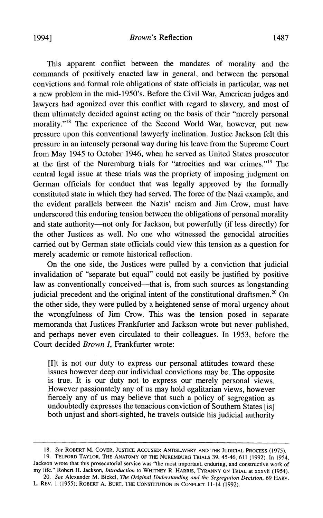This apparent conflict between the mandates of morality and the commands of positively enacted law in general, and between the personal convictions and formal role obligations of state officials in particular, was not a new problem in the mid-1950's. Before the Civil War, American judges and lawyers had agonized over this conflict with regard to slavery, and most of them ultimately decided against acting on the basis of their "merely personal morality."<sup>18</sup> The experience of the Second World War, however, put new pressure upon this conventional lawyerly inclination. Justice Jackson felt this pressure in an intensely personal way during his leave from the Supreme Court from May 1945 to October 1946, when he served as United States prosecutor at the first of the Nuremburg trials for "atrocities and war crimes."<sup>19</sup> The central legal issue at these trials was the propriety of imposing judgment on German officials for conduct that was legally approved by the formally constituted state in which they had served. The force of the Nazi example, and the evident parallels between the Nazis' racism and Jim Crow, must have underscored this enduring tension between the obligations of personal morality and state authority-not only for Jackson, but powerfully (if less directly) for the other Justices as well. No one who witnessed the genocidal atrocities carried out by German state officials could view this tension as a question for merely academic or remote historical reflection.

On the one side, the Justices were pulled by a conviction that judicial invalidation of "separate but equal" could not easily be justified by positive law as conventionally conceived—that is, from such sources as longstanding judicial precedent and the original intent of the constitutional draftsmen.<sup>20</sup> On the other side, they were pulled by a heightened sense of moral urgency about the wrongfulness of Jim Crow. This was the tension posed in separate memoranda that Justices Frankfurter and Jackson wrote but never published, and perhaps never even circulated to their colleagues. In 1953, before the Court decided *Brown I,* Frankfurter wrote:

[I]t is not our duty to express our personal attitudes toward these issues however deep our individual convictions may be. The opposite is true. It is our duty not to express our merely personal views. However passionately any of us may hold egalitarian views, however fiercely any of us may believe that such a policy of segregation as undoubtedly expresses the tenacious conviction of Southern States [is] both unjust and short-sighted, he travels outside his judicial authority

*20. See* Alexander M. Bickel, *The Original Understanding and the Segregation Decision,* 69 HARV. L. REV. 1 (1955); ROBERT A. BURT, THE CONSTITUTION IN CONFLICT 11-14 (1992).

*<sup>18.</sup> See* ROBERT M. COVER, JUSTICE ACCUSED: ANTISLAVERY AND THE JUDICIAL PROCESS (1975).

<sup>19.</sup> TELFORD TAYLOR, THE ANATOMY OF THE NUREMBURG TRIALS 39, 45-46, 611 (1992). In 1954, Jackson wrote that this prosecutorial service was "the most important, enduring, and constructive work of my life." Robert H. Jackson, *Introduction* to WHITNEY R. HARRIS, TYRANNY ON TRIAL at xxxvii (1954).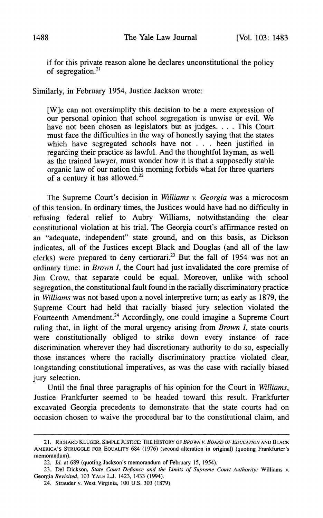if for this private reason alone he declares unconstitutional the policy of segregation.<sup>21</sup>

Similarly, in February 1954, Justice Jackson wrote:

[W]e can not oversimplify this decision to be a mere expression of our personal opinion that school segregation is unwise or evil. We have not been chosen as legislators but as judges. . . . This Court must face the difficulties in the way of honestly saying that the states which have segregated schools have not . . . been justified in regarding their practice as lawful. And the thoughtful layman, as well as the trained lawyer, must wonder how it is that a supposedly stable organic law of our nation this morning forbids what for three quarters of a century it has allowed.<sup>22</sup>

The Supreme Court's decision in *Williams* v. *Georgia* was a microcosm of this tension. In ordinary times, the Justices would have had no difficulty in refusing federal relief to Aubry Williams, notwithstanding the clear constitutional violation at his trial. The Georgia court's affirmance rested on an "adequate, independent" state ground, and on this basis, as Dickson indicates, all of the Justices except Black and Douglas (and all of the law clerks) were prepared to deny certiorari.<sup>23</sup> But the fall of 1954 was not an ordinary time: in *Brown I,* the Court had just invalidated the core premise of Jim Crow, that separate could be equal. Moreover, unlike with school segregation, the constitutional fault found in the racially discriminatory practice in *Williams* was not based upon a novel interpretive turn; as early as 1879, the Supreme Court had held that racially biased jury selection violated the Fourteenth Amendment.<sup>24</sup> Accordingly, one could imagine a Supreme Court ruling that, in light of the moral urgency arising from *Brown I,* state courts were constitutionally obliged to strike down every instance of race discrimination wherever they had discretionary authority to do so, especially those instances where the racially discriminatory practice violated clear, longstanding constitutional imperatives, as was the case with racially biased jury selection.

Until the final three paragraphs of his opinion for the Court in *Williams,* Justice Frankfurter seemed to be headed toward this result. Frankfurter excavated Georgia precedents to demonstrate that the state courts had on occasion chosen to waive the procedural bar to the constitutional claim, and

<sup>21.</sup> RICHARD KLUGER, SIMPLE JUSTICE: THE HISTORY OF *BROWN v. BOARD OF EDUCATION* AND BLACK AMERICA'S STRUGGLE FOR EQUALITY 684 (1976) (second alteration in original) (quoting Frankfurter's memorandum).

*<sup>22.</sup> Id.* at 689 (quoting Jackson's memorandum of February 15, 1954).

<sup>23.</sup> Del Dickson, *State Court Defiance and the Limits of Supreme Court Authority:* Williams v. Georgia *Revisited,* 103 YALE LJ. 1423, 1433 (1994).

<sup>24.</sup> Strauder v. West Virginia, 100 U.S. 303 (1879).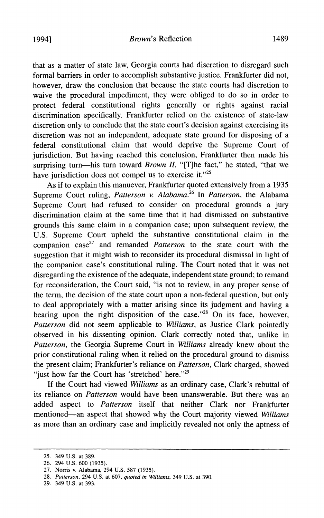1994] *Brown's* Reflection 1489

that as a matter of state law, Georgia courts had discretion to disregard such formal barriers in order to accomplish substantive justice. Frankfurter did not, however, draw the conclusion that because the state courts had discretion to waive the procedural impediment, they were obliged to do so in order to protect federal constitutional rights generally or rights against racial discrimination specifically. Frankfurter relied on the existence of state-law discretion only to conclude that the state court's decision against exercising its discretion was not an independent, adequate state ground for disposing of a federal constitutional claim that would deprive the Supreme Court of jurisdiction. But having reached this conclusion, Frankfurter then made his surprising turn-his turn toward *Brown II.* "[T]he fact," he stated, "that we have jurisdiction does not compel us to exercise it." $25$ 

As if to explain this manuever, Frankfurter quoted extensively from a 1935 Supreme Court ruling, *Patterson* v. *Alabama.<sup>26</sup>* In *Patterson,* the Alabama Supreme Court had refused to consider on procedural grounds a jury discrimination claim at the same time that it had dismissed on substantive grounds this same claim in a companion case; upon subsequent review, the U.S. Supreme Court upheld the substantive constitutional claim in the companion case<sup>27</sup> and remanded *Patterson* to the state court with the suggestion that it might wish to reconsider its procedural dismissal in light of the companion case's constitutional ruling. The Court noted that it was not disregarding the existence of the adequate, independent state ground; to remand for reconsideration, the Court said, "is not to review, in any proper sense of the term, the decision of the state court upon a non-federal question, but only to deal appropriately with a matter arising since its judgment and having a bearing upon the right disposition of the case." $28$  On its face, however, *Patterson* did not seem applicable to *Williams,* as Justice Clark pointedly observed in his dissenting opinion. Clark correctly noted that, unlike in *Patterson,* the Georgia Supreme Court in *Williams* already knew about the prior constitutional ruling when it relied on the procedural ground to dismiss the present claim; Frankfurter's reliance on *Patterson,* Clark charged, showed "just how far the Court has 'stretched' here." $29$ 

If the Court had viewed *Williams* as an ordinary case, Clark's rebuttal of its reliance on *Patterson* would have been unanswerable. But there was an added aspect to *Patterson* itself that neither Clark nor Frankfurter mentioned-an aspect that showed why the Court majority viewed *Williams* as more than an ordinary case and implicitly revealed not only the aptness of

<sup>25.</sup> 349 U.S. at 389.

<sup>26.</sup> 294 U.S. 600 (1935).

<sup>27.</sup> Norris v. Alabama, 294 U.S. 587 (1935).

*<sup>28.</sup> Patterson,* 294 U.S. at 607, *quoted in Williams,* 349 U.S. at 390.

<sup>29.</sup> 349 U.S. at 393.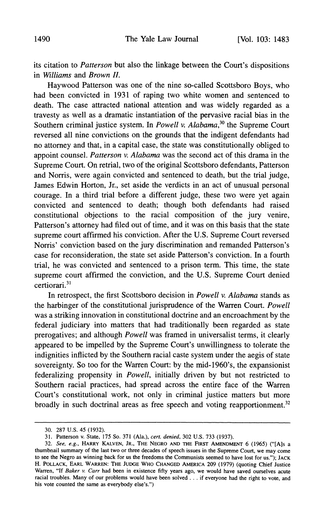its citation to *Patterson* but also the linkage between the Court's dispositions in *Williams* and *Brown II.*

Haywood Patterson was one of the nine so-called Scottsboro Boys, who had been convicted in 1931 of raping two white women and sentenced to death. The case attracted national attention and was widely regarded as a travesty as well as a dramatic instantiation of the pervasive racial bias in the Southern criminal justice system. In *Powell v. Alabama,30* the Supreme Court reversed all nine convictions on the grounds that the indigent defendants had no attorney and that, in a capital case, the state was constitutionally obliged to appoint counsel. *Patterson v. Alabama* was the second act of this drama in the Supreme Court. On retrial, two of the original Scottsboro defendants, Patterson and Norris, were again convicted and sentenced to death, but the trial judge, James Edwin Horton, Jr., set aside the verdicts in an act of unusual personal courage. In a third trial before a different judge, these two were yet again convicted and sentenced to death; though both defendants had raised constitutional objections to the racial composition of the jury venire, Patterson's attorney had filed out of time, and it was on this basis that the state supreme court affirmed his conviction. After the U.S. Supreme Court reversed Norris' conviction based on the jury discrimination and remanded Patterson's case for reconsideration, the state set aside Patterson's conviction. In a fourth trial, he was convicted and sentenced to a prison term. This time, the state supreme court affirmed the conviction, and the U.S. Supreme Court denied certiorari. <sup>31</sup>

In retrospect, the first Scottsboro decision in *Powell v. Alabama* stands as the harbinger of the constitutional jurisprudence of the Warren Court. *Powell* was a striking innovation in constitutional doctrine and an encroachment by the federal judiciary into matters that had traditionally been regarded as state prerogatives; and although *Powell* was framed in universalist terms, it clearly appeared to be impelled by the Supreme Court's unwillingness to tolerate the indignities inflicted by the Southern racial caste system under the aegis of state sovereignty. So too for the Warren Court: by the mid-1960's, the expansionist federalizing propensity in *Powell,* initially driven by but not restricted to Southern racial practices, had spread across the entire face of the Warren Court's constitutional work, not only in criminal justice matters but more broadly in such doctrinal areas as free speech and voting reapportionment.<sup>32</sup>

<sup>30.</sup> 287 u.s. 45 (1932).

<sup>31.</sup> Patterson v. State, 175 So. 371 (Ala.), *cert. denied,* 302 U.S. 733 (1937).

*<sup>32.</sup> See, e.g.,* HARRY KALVEN, JR., THE NEGRO AND THE FIRST AMENDMENT 6 (1965) ("[Als a thumbnaiI summary of the last two or three decades of speech issues in the Supreme Court, we may come to see the Negro as winning back for us the freedoms the Communists seemed to have lost for us."); JACK H. POLLACK, EARL WARREN: THE JUDGE WHO CHANGED AMERICA 209 (1979) (quoting Chief Justice Warren, "If *Baker v. Carr* had been in existence fifty years ago, we would have saved ourselves acute racial troubles. Many of our problems would have been solved ... if everyone had the right to vote, and his vote counted the same as everybody else's.")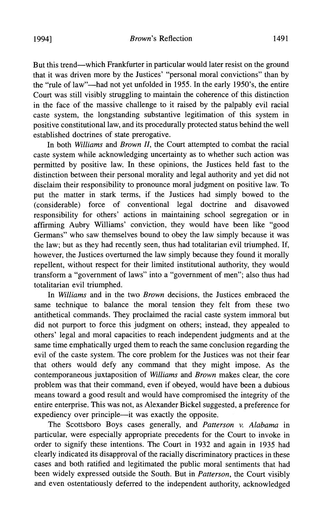But this trend-which Frankfurter in particular would later resist on the ground that it was driven more by the Justices' "personal moral convictions" than by the "rule of law"-had not yet unfolded in 1955. In the early 1950's, the entire Court was still visibly struggling to maintain the coherence of this distinction in the face of the massive challenge to it raised by the palpably evil racial caste system, the longstanding substantive legitimation of this system in positive constitutional law, and its procedurally protected status behind the well established doctrines of state prerogative.

In both *Williams* and *Brown II,* the Court attempted to combat the racial caste system while acknowledging uncertainty as to whether such action was permitted by positive law. In these opinions, the Justices held fast to the distinction between their personal morality and legal authority and yet did not disclaim their responsibility to pronounce moral judgment on positive law. To put the matter in stark terms, if the Justices had simply bowed to the (considerable) force of conventional legal doctrine and disavowed responsibility for others' actions in maintaining school segregation or in affirming Aubry Williams' conviction, they would have been like "good Germans" who saw themselves bound to obey the law simply because it was the law; but as they had recently seen, thus had totalitarian evil triumphed. If, however, the Justices overturned the law simply because they found it morally repellent, without respect for their limited institutional authority, they would transform a "government of laws" into a "government of men"; also thus had totalitarian evil triumphed.

In *Williams* and in the two *Brown* decisions, the Justices embraced the same technique to balance the moral tension they felt from these two antithetical commands. They proclaimed the racial caste system immoral but did not purport to force this judgment on others; instead, they appealed to others' legal and moral capacities to reach independent judgments and at the same time emphatically urged them to reach the same conclusion regarding the evil of the caste system. The core problem for the Justices was not their fear that others would defy any command that they might impose. As the contemporaneous juxtaposition of *Williams* and *Brown* makes clear, the core problem was that their command, even if obeyed, would have been a dubious means toward a good result and would have compromised the integrity of the entire enterprise. This was not, as Alexander Bickel suggested, a preference for expediency over principle-it was exactly the opposite.

The Scottsboro Boys cases generally, and *Patterson* v. *Alabama* in particular, were especially appropriate precedents for the Court to invoke in order to signify these intentions. The Court in 1932 and again in 1935 had clearly indicated its disapproval of the racially discriminatory practices in these cases and both ratified and legitimated the public moral sentiments that had been widely expressed outside the South. But in *Patterson,* the Court visibly and even ostentatiously deferred to the independent authority, acknowledged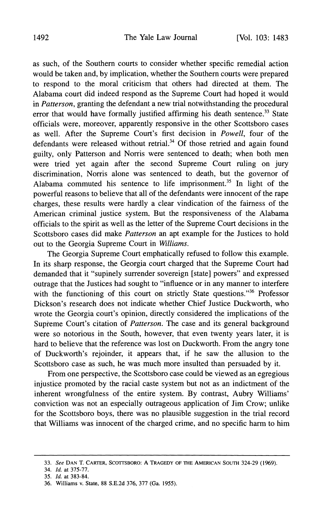as such, of the Southern courts to consider whether specific remedial action would be taken and, by implication, whether the Southern courts were prepared to respond to the moral criticism that others had directed at them. The Alabama court did indeed respond as the Supreme Court had hoped it would in *Patterson,* granting the defendant a new trial notwithstanding the procedural error that would have formally justified affirming his death sentence.<sup>33</sup> State officials were, moreover, apparently responsive in the other Scottsboro cases as well. After the Supreme Court's first decision in *Powell,* four of the defendants were released without retrial.<sup>34</sup> Of those retried and again found guilty, only Patterson and Norris were sentenced to death; when both men were tried yet again after the second Supreme Court ruling on jury discrimination, Norris alone was sentenced to death, but the governor of Alabama commuted his sentence to life imprisonment.<sup>35</sup> In light of the powerful reasons to believe that all of the defendants were innocent of the rape charges, these results were hardly a clear vindication of the fairness of the American criminal justice system. But the responsiveness of the Alabama officials to the spirit as well as the letter of the Supreme Court decisions in the Scottsboro cases did make *Patterson* an apt example for the Justices to hold out to the Georgia Supreme Court in *Williams.*

The Georgia Supreme Court emphatically refused to follow this example. In its sharp response, the Georgia court charged that the Supreme Court had demanded that it "supinely surrender sovereign [state] powers" and expressed outrage that the Justices had sought to "influence or in any manner to interfere with the functioning of this court on strictly State questions."<sup>36</sup> Professor Dickson's research does not indicate whether Chief Justice Duckworth, who wrote the Georgia court's opinion, directly considered the implications of the Supreme Court's citation of *Patterson.* The case and its general background were so notorious in the South, however, that even twenty years later, it is hard to believe that the reference was lost on Duckworth. From the angry tone of Duckworth's rejoinder, it appears that, if he saw the allusion to the Scottsboro case as such, he was much more insulted than persuaded by it.

From one perspective, the Scottsboro case could be viewed as an egregious injustice promoted by the racial caste system but not as an indictment of the inherent wrongfulness of the entire system. By contrast, Aubry Williams' conviction was not an especially outrageous application of Jim Crow; unlike for the Scottsboro boys, there was no plausible suggestion in the trial record that Williams was innocent of the charged crime, and no specific harm to him

*<sup>33.</sup> See* DAN T. CARTER, SCOTfSBORO: A TRAGEDY OF THE AMERICAN SOUTH 324-29 (1969).

*<sup>34.</sup> Id.* at 375-77.

*<sup>35.</sup> Id.* at 383-84.

<sup>36.</sup> Williams v. State, 88 S.E.2d 376, 377 (Ga. 1955).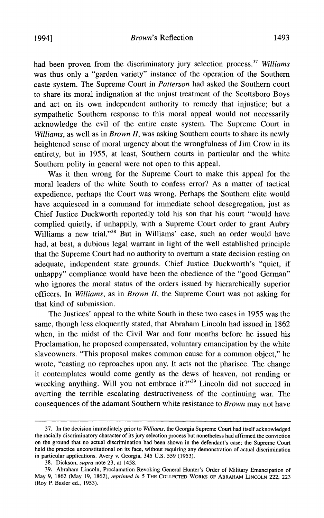1994] *Brown's* Reflection 1493

had been proven from the discriminatory jury selection process.<sup>37</sup> Williams was thus only a "garden variety" instance of the operation of the Southern caste system. The Supreme Court in *Patterson* had asked the Southern court to share its moral indignation at the unjust treatment of the Scottsboro Boys and act on its own independent authority to remedy that injustice; but a sympathetic Southern response to this moral appeal would not necessarily acknowledge the evil of the entire caste system. The Supreme Court in *Williams,* as well as in *Brown II,* was asking Southern courts to share its newly heightened sense of moral urgency about the wrongfulness of Jim Crow in its entirety, but in 1955, at least, Southern courts in particular and the white Southern polity in general were not open to this appeal.

Was it then wrong for the Supreme Court to make this appeal for the moral leaders of the white South to confess error? As a matter of tactical expedience, perhaps the Court was wrong. Perhaps the Southern elite would have acquiesced in a command for immediate school desegregation, just as Chief Justice Duckworth reportedly told his son that his court "would have complied quietly, if unhappily, with a Supreme Court order to grant Aubry Williams a new trial."<sup>38</sup> But in Williams' case, such an order would have had, at best, a dubious legal warrant in light of the well established principle that the Supreme Court had no authority to overturn a state decision resting on adequate, independent state grounds. Chief Justice Duckworth's "quiet, if unhappy" compliance would have been the obedience of the "good German" who ignores the moral status of the orders issued by hierarchically superior officers. In *Williams,* as in *Brown II,* the Supreme Court was not asking for that kind of submission.

The Justices' appeal to the white South in these two cases in 1955 was the same, though less eloquently stated, that Abraham Lincoln had issued in 1862 when, in the midst of the Civil War and four months before he issued his Proclamation, he proposed compensated, voluntary emancipation by the white slaveowners. "This proposal makes common cause for a common object," he wrote, "casting no reproaches upon any. It acts not the pharisee. The change it contemplates would come gently as the dews of heaven, not rending or wrecking anything. Will you not embrace it?"<sup>39</sup> Lincoln did not succeed in averting the terrible escalating destructiveness of the continuing war. The consequences of the adamant Southern white resistance to *Brown* may not have

<sup>37.</sup> In the decision immediately prior to *Williams,* the Georgia Supreme Court had itself acknowledged the racially discriminatory character of its jury selection process but nonetheless had affirmed the conviction on the ground that no actual discrimination had been shown in the defendant's case; the Supreme Court held the practice unconstitutional on its face, without requiring any demonstration of actual discrimination in particular applications. Avery v. Georgia, 345 U.S. 559 (1953).

<sup>38.</sup> Dickson, *supra* note 23, at 1458.

<sup>39.</sup> Abraham Lincoln, Proclamation Revoking General Hunter's Order of Military Emancipation of May 9, 1862 (May 19, 1862), *reprinted in* 5 THE COLLECTED WORKS OF ABRAHAM LINCOLN 222, 223 (Roy P. Basler ed., 1953).